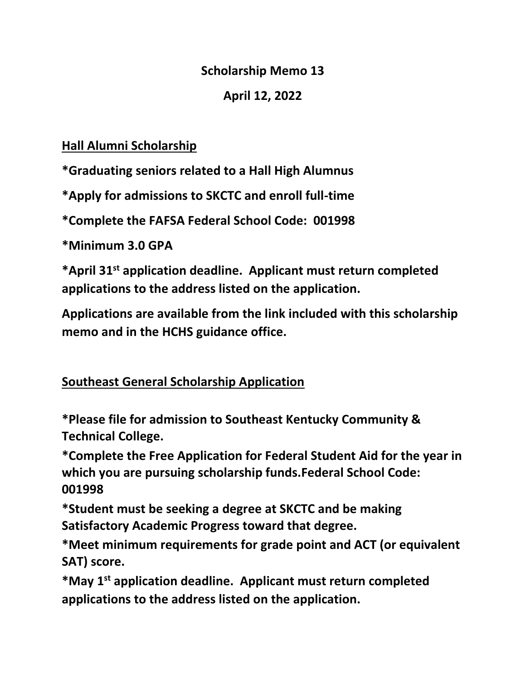#### **Scholarship Memo 13**

#### **April 12, 2022**

### **Hall Alumni Scholarship**

**\*Graduating seniors related to a Hall High Alumnus** 

**\*Apply for admissions to SKCTC and enroll full-time**

**\*Complete the FAFSA Federal School Code: 001998**

**\*Minimum 3.0 GPA**

**\*April 31st application deadline. Applicant must return completed applications to the address listed on the application.**

**Applications are available from the link included with this scholarship memo and in the HCHS guidance office.**

### **Southeast General Scholarship Application**

**\*Please file for admission to Southeast Kentucky Community & Technical College.**

**\*Complete the Free Application for Federal Student Aid for the year in which you are pursuing scholarship funds.Federal School Code: 001998**

**\*Student must be seeking a degree at SKCTC and be making Satisfactory Academic Progress toward that degree.**

**\*Meet minimum requirements for grade point and ACT (or equivalent SAT) score.**

**\*May 1st application deadline. Applicant must return completed applications to the address listed on the application.**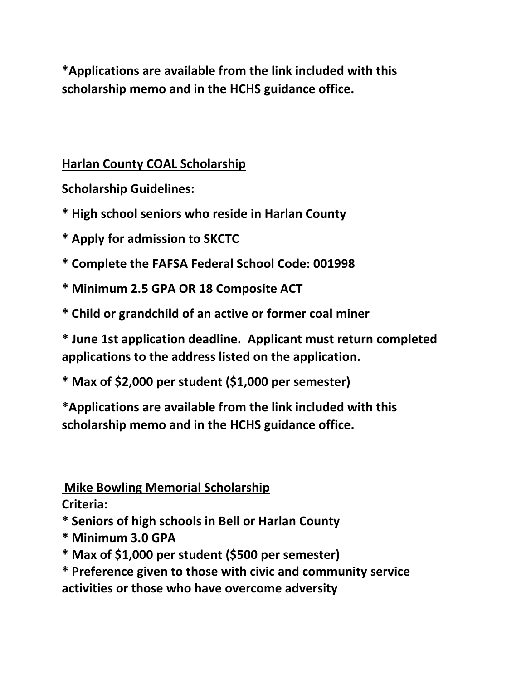**\*Applications are available from the link included with this scholarship memo and in the HCHS guidance office.**

### **Harlan County COAL Scholarship**

**Scholarship Guidelines:**

**\* High school seniors who reside in Harlan County** 

**\* Apply for admission to SKCTC** 

**\* Complete the FAFSA Federal School Code: 001998** 

**\* Minimum 2.5 GPA OR 18 Composite ACT** 

**\* Child or grandchild of an active or former coal miner** 

**\* June 1st application deadline. Applicant must return completed applications to the address listed on the application.**

**\* Max of \$2,000 per student (\$1,000 per semester)**

**\*Applications are available from the link included with this scholarship memo and in the HCHS guidance office.**

### **Mike Bowling Memorial Scholarship**

**Criteria:** 

**\* Seniors of high schools in Bell or Harlan County** 

- **\* Minimum 3.0 GPA**
- **\* Max of \$1,000 per student (\$500 per semester)**
- **\* Preference given to those with civic and community service activities or those who have overcome adversity**